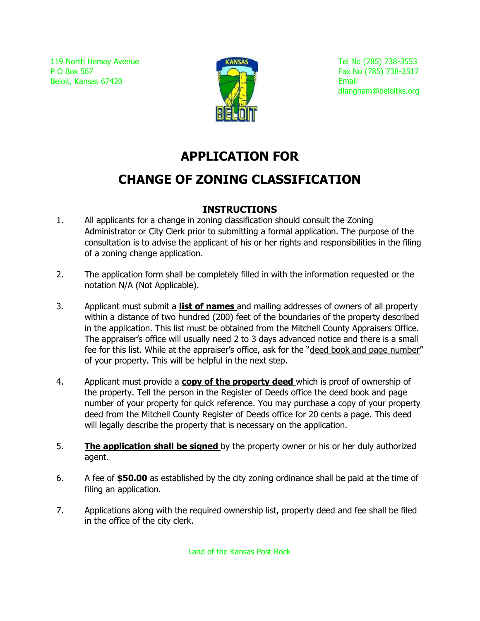119 North Hersey Avenue P O Box 567 Beloit, Kansas 67420



Tel No (785) 738-3553 Fax No (785) 738-2517 Email dlangham@beloitks.org

# **APPLICATION FOR**

# **CHANGE OF ZONING CLASSIFICATION**

## **INSTRUCTIONS**

- 1. All applicants for a change in zoning classification should consult the Zoning Administrator or City Clerk prior to submitting a formal application. The purpose of the consultation is to advise the applicant of his or her rights and responsibilities in the filing of a zoning change application.
- 2. The application form shall be completely filled in with the information requested or the notation N/A (Not Applicable).
- 3. Applicant must submit a **list of names** and mailing addresses of owners of all property within a distance of two hundred (200) feet of the boundaries of the property described in the application. This list must be obtained from the Mitchell County Appraisers Office. The appraiser's office will usually need 2 to 3 days advanced notice and there is a small fee for this list. While at the appraiser's office, ask for the "deed book and page number" of your property. This will be helpful in the next step.
- 4. Applicant must provide a **copy of the property deed** which is proof of ownership of the property. Tell the person in the Register of Deeds office the deed book and page number of your property for quick reference. You may purchase a copy of your property deed from the Mitchell County Register of Deeds office for 20 cents a page. This deed will legally describe the property that is necessary on the application.
- 5. **The application shall be signed** by the property owner or his or her duly authorized agent.
- 6. A fee of **\$50.00** as established by the city zoning ordinance shall be paid at the time of filing an application.
- 7. Applications along with the required ownership list, property deed and fee shall be filed in the office of the city clerk.

Land of the Kansas Post Rock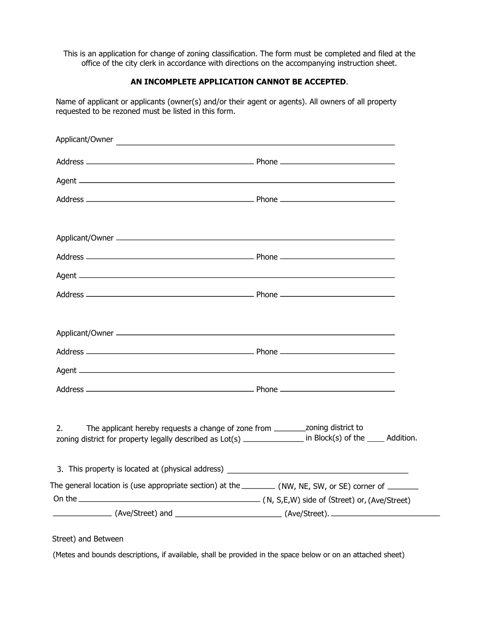This is an application for change of zoning classification. The form must be completed and filed at the office of the city clerk in accordance with directions on the accompanying instruction sheet.

### **AN INCOMPLETE APPLICATION CANNOT BE ACCEPTED**.

Name of applicant or applicants (owner(s) and/or their agent or agents). All owners of all property requested to be rezoned must be listed in this form.

| Applicant/Owner                                                                                                   |  |
|-------------------------------------------------------------------------------------------------------------------|--|
|                                                                                                                   |  |
|                                                                                                                   |  |
|                                                                                                                   |  |
|                                                                                                                   |  |
|                                                                                                                   |  |
|                                                                                                                   |  |
|                                                                                                                   |  |
|                                                                                                                   |  |
|                                                                                                                   |  |
|                                                                                                                   |  |
|                                                                                                                   |  |
|                                                                                                                   |  |
| 2.<br>zoning district for property legally described as Lot(s) _______________ in Block(s) of the _____ Addition. |  |
|                                                                                                                   |  |
| The general location is (use appropriate section) at the _________ (NW, NE, SW, or SE) corner of ________         |  |
|                                                                                                                   |  |
|                                                                                                                   |  |

### Street) and Between

(Metes and bounds descriptions, if available, shall be provided in the space below or on an attached sheet)